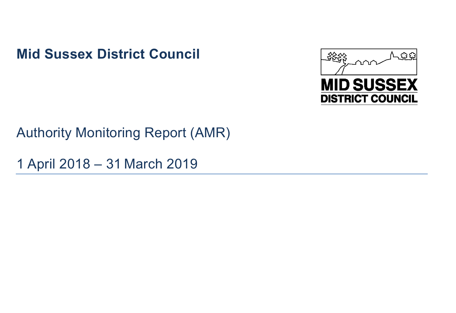**Mid Sussex District Council**



# Authority Monitoring Report (AMR)

1 April 2018 – 31 March 2019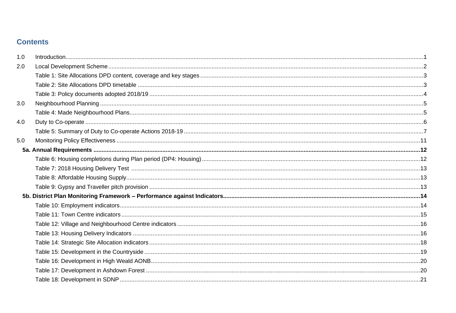# **Contents**

| 1.0 |  |
|-----|--|
| 2.0 |  |
|     |  |
|     |  |
|     |  |
| 3.0 |  |
|     |  |
| 4.0 |  |
|     |  |
| 5.0 |  |
|     |  |
|     |  |
|     |  |
|     |  |
|     |  |
|     |  |
|     |  |
|     |  |
|     |  |
|     |  |
|     |  |
|     |  |
|     |  |
|     |  |
|     |  |
|     |  |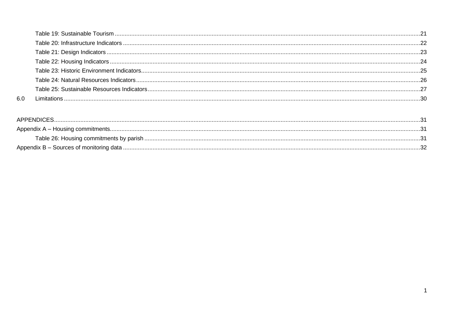| .66 |  |
|-----|--|

| APPENDICES. |  |
|-------------|--|
|             |  |
|             |  |
|             |  |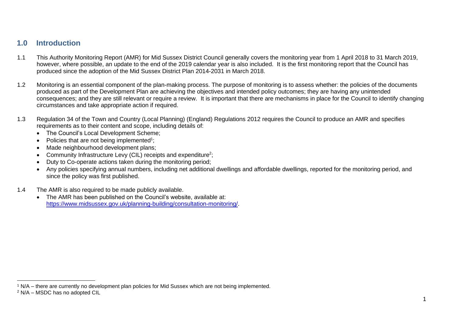# <span id="page-3-0"></span>**1.0 Introduction**

- 1.1 This Authority Monitoring Report (AMR) for Mid Sussex District Council generally covers the monitoring year from 1 April 2018 to 31 March 2019, however, where possible, an update to the end of the 2019 calendar year is also included. It is the first monitoring report that the Council has produced since the adoption of the Mid Sussex District Plan 2014-2031 in March 2018.
- 1.2 Monitoring is an essential component of the plan-making process. The purpose of monitoring is to assess whether: the policies of the documents produced as part of the Development Plan are achieving the objectives and intended policy outcomes; they are having any unintended consequences; and they are still relevant or require a review. It is important that there are mechanisms in place for the Council to identify changing circumstances and take appropriate action if required.
- 1.3 Regulation 34 of the Town and Country (Local Planning) (England) Regulations 2012 requires the Council to produce an AMR and specifies requirements as to their content and scope, including details of:
	- The Council's Local Development Scheme;
	- $\bullet$  Policies that are not being implemented<sup>1</sup>;
	- Made neighbourhood development plans;
	- Community Infrastructure Levy (CIL) receipts and expenditure<sup>2</sup>;
	- Duty to Co-operate actions taken during the monitoring period;
	- Any policies specifying annual numbers, including net additional dwellings and affordable dwellings, reported for the monitoring period, and since the policy was first published.
- 1.4 The AMR is also required to be made publicly available.
	- The AMR has been published on the Council's website, available at: https://www.midsussex.gov.uk/planning-building/consultation-monitoring/

<sup>1</sup> N/A – there are currently no development plan policies for Mid Sussex which are not being implemented.

<sup>2</sup> N/A – MSDC has no adopted CIL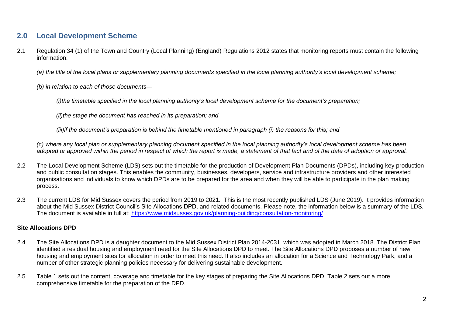# <span id="page-4-0"></span>**2.0 Local Development Scheme**

2.1 Regulation 34 (1) of the Town and Country (Local Planning) (England) Regulations 2012 states that monitoring reports must contain the following information:

*(a) the title of the local plans or supplementary planning documents specified in the local planning authority's local development scheme;*

*(b) in relation to each of those documents—*

*(i)the timetable specified in the local planning authority's local development scheme for the document's preparation;*

*(ii)the stage the document has reached in its preparation; and*

*(iii)if the document's preparation is behind the timetable mentioned in paragraph (i) the reasons for this; and*

*(c) where any local plan or supplementary planning document specified in the local planning authority's local development scheme has been adopted or approved within the period in respect of which the report is made, a statement of that fact and of the date of adoption or approval.*

- 2.2 The Local Development Scheme (LDS) sets out the timetable for the production of Development Plan Documents (DPDs), including key production and public consultation stages. This enables the community, businesses, developers, service and infrastructure providers and other interested organisations and individuals to know which DPDs are to be prepared for the area and when they will be able to participate in the plan making process.
- 2.3 The current LDS for Mid Sussex covers the period from 2019 to 2021. This is the most recently published LDS (June 2019). It provides information about the Mid Sussex District Council's Site Allocations DPD, and related documents. Please note, the information below is a summary of the LDS. The document is available in full at:<https://www.midsussex.gov.uk/planning-building/consultation-monitoring/>

# **Site Allocations DPD**

- 2.4 The Site Allocations DPD is a daughter document to the Mid Sussex District Plan 2014-2031, which was adopted in March 2018. The District Plan identified a residual housing and employment need for the Site Allocations DPD to meet. The Site Allocations DPD proposes a number of new housing and employment sites for allocation in order to meet this need. It also includes an allocation for a Science and Technology Park, and a number of other strategic planning policies necessary for delivering sustainable development.
- 2.5 Table 1 sets out the content, coverage and timetable for the key stages of preparing the Site Allocations DPD. Table 2 sets out a more comprehensive timetable for the preparation of the DPD.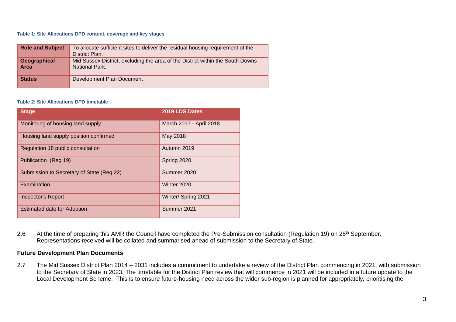#### <span id="page-5-0"></span>**Table 1: Site Allocations DPD content, coverage and key stages**

| <b>Role and Subject</b>     | To allocate sufficient sites to deliver the residual housing requirement of the<br>District Plan. |
|-----------------------------|---------------------------------------------------------------------------------------------------|
| Geographical<br><b>Area</b> | Mid Sussex District, excluding the area of the District within the South Downs<br>National Park.  |
| <b>Status</b>               | <b>Development Plan Document</b>                                                                  |

#### <span id="page-5-1"></span>**Table 2: Site Allocations DPD timetable**

| <b>Stage</b>                              | 2019 LDS Dates          |
|-------------------------------------------|-------------------------|
| Monitoring of housing land supply         | March 2017 - April 2018 |
| Housing land supply position confirmed    | May 2018                |
| Regulation 18 public consultation         | Autumn 2019             |
| Publication (Reg 19)                      | Spring 2020             |
| Submission to Secretary of State (Reg 22) | Summer 2020             |
| Examination                               | Winter 2020             |
| <b>Inspector's Report</b>                 | Winter/ Spring 2021     |
| <b>Estimated date for Adoption</b>        | Summer 2021             |

2.6 At the time of preparing this AMR the Council have completed the Pre-Submission consultation (Regulation 19) on 28<sup>th</sup> September. Representations received will be collated and summarised ahead of submission to the Secretary of State.

# **Future Development Plan Documents**

2.7 The Mid Sussex District Plan 2014 – 2031 includes a commitment to undertake a review of the District Plan commencing in 2021, with submission to the Secretary of State in 2023. The timetable for the District Plan review that will commence in 2021 will be included in a future update to the Local Development Scheme. This is to ensure future-housing need across the wider sub-region is planned for appropriately, prioritising the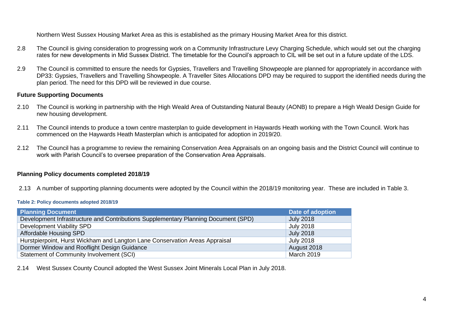Northern West Sussex Housing Market Area as this is established as the primary Housing Market Area for this district.

- 2.8 The Council is giving consideration to progressing work on a Community Infrastructure Levy Charging Schedule, which would set out the charging rates for new developments in Mid Sussex District. The timetable for the Council's approach to CIL will be set out in a future update of the LDS.
- 2.9 The Council is committed to ensure the needs for Gypsies, Travellers and Travelling Showpeople are planned for appropriately in accordance with DP33: Gypsies, Travellers and Travelling Showpeople. A Traveller Sites Allocations DPD may be required to support the identified needs during the plan period. The need for this DPD will be reviewed in due course.

# **Future Supporting Documents**

- 2.10 The Council is working in partnership with the High Weald Area of Outstanding Natural Beauty (AONB) to prepare a High Weald Design Guide for new housing development.
- 2.11 The Council intends to produce a town centre masterplan to guide development in Haywards Heath working with the Town Council. Work has commenced on the Haywards Heath Masterplan which is anticipated for adoption in 2019/20.
- 2.12 The Council has a programme to review the remaining Conservation Area Appraisals on an ongoing basis and the District Council will continue to work with Parish Council's to oversee preparation of the Conservation Area Appraisals.

# **Planning Policy documents completed 2018/19**

2.13 A number of supporting planning documents were adopted by the Council within the 2018/19 monitoring year. These are included in Table 3.

#### <span id="page-6-0"></span>**Table 2: Policy documents adopted 2018/19**

| Planning Document                                                                  | <b>Date of adoption</b> |
|------------------------------------------------------------------------------------|-------------------------|
| Development Infrastructure and Contributions Supplementary Planning Document (SPD) | <b>July 2018</b>        |
| Development Viability SPD                                                          | <b>July 2018</b>        |
| Affordable Housing SPD                                                             | <b>July 2018</b>        |
| Hurstpierpoint, Hurst Wickham and Langton Lane Conservation Areas Appraisal        | <b>July 2018</b>        |
| Dormer Window and Rooflight Design Guidance                                        | August 2018             |
| Statement of Community Involvement (SCI)                                           | March 2019              |

2.14 West Sussex County Council adopted the West Sussex Joint Minerals Local Plan in July 2018.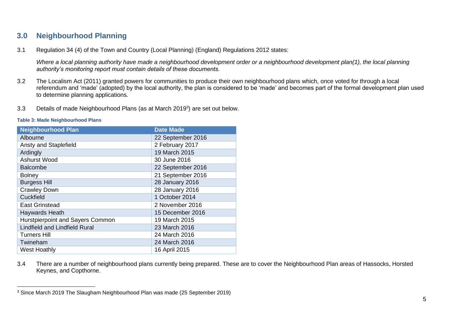# <span id="page-7-0"></span>**3.0 Neighbourhood Planning**

3.1 Regulation 34 (4) of the Town and Country (Local Planning) (England) Regulations 2012 states:

*Where a local planning authority have made a neighbourhood development order or a neighbourhood development plan(1), the local planning authority's monitoring report must contain details of these documents.*

- 3.2 The Localism Act (2011) granted powers for communities to produce their own neighbourhood plans which, once voted for through a local referendum and 'made' (adopted) by the local authority, the plan is considered to be 'made' and becomes part of the formal development plan used to determine planning applications.
- 3.3 Details of made Neighbourhood Plans (as at March 2019<sup>3</sup> ) are set out below.

<span id="page-7-1"></span>

|  | <b>Table 3: Made Neighbourhood Plans</b> |
|--|------------------------------------------|
|--|------------------------------------------|

| <b>Neighbourhood Plan</b>            | <b>Date Made</b>  |
|--------------------------------------|-------------------|
| Albourne                             | 22 September 2016 |
| Ansty and Staplefield                | 2 February 2017   |
| Ardingly                             | 19 March 2015     |
| <b>Ashurst Wood</b>                  | 30 June 2016      |
| <b>Balcombe</b>                      | 22 September 2016 |
| <b>Bolney</b>                        | 21 September 2016 |
| <b>Burgess Hill</b>                  | 28 January 2016   |
| <b>Crawley Down</b>                  | 28 January 2016   |
| Cuckfield                            | 1 October 2014    |
| <b>East Grinstead</b>                | 2 November 2016   |
| Haywards Heath                       | 15 December 2016  |
| Hurstpierpoint and Sayers Common     | 19 March 2015     |
| <b>Lindfield and Lindfield Rural</b> | 23 March 2016     |
| <b>Turners Hill</b>                  | 24 March 2016     |
| Twineham                             | 24 March 2016     |
| <b>West Hoathly</b>                  | 16 April 2015     |

3.4 There are a number of neighbourhood plans currently being prepared. These are to cover the Neighbourhood Plan areas of Hassocks, Horsted Keynes, and Copthorne.

<sup>3</sup> Since March 2019 The Slaugham Neighbourhood Plan was made (25 September 2019)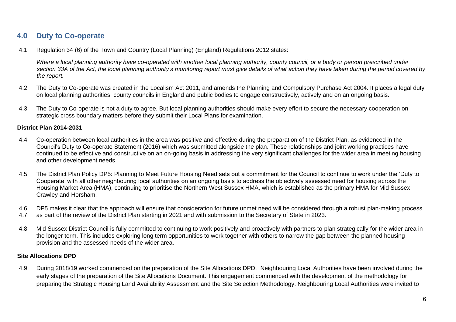# <span id="page-8-0"></span>**4.0 Duty to Co-operate**

4.1 Regulation 34 (6) of the Town and Country (Local Planning) (England) Regulations 2012 states:

*Where a local planning authority have co-operated with another local planning authority, county council, or a body or person prescribed under section 33A of the Act, the local planning authority's monitoring report must give details of what action they have taken during the period covered by the report.*

- 4.2 The Duty to Co-operate was created in the Localism Act 2011, and amends the Planning and Compulsory Purchase Act 2004. It places a legal duty on local planning authorities, county councils in England and public bodies to engage constructively, actively and on an ongoing basis.
- 4.3 The Duty to Co-operate is not a duty to agree. But local planning authorities should make every effort to secure the necessary cooperation on strategic cross boundary matters before they submit their Local Plans for examination.

# **District Plan 2014-2031**

- 4.4 Co-operation between local authorities in the area was positive and effective during the preparation of the District Plan, as evidenced in the Council's Duty to Co-operate Statement (2016) which was submitted alongside the plan. These relationships and joint working practices have continued to be effective and constructive on an on-going basis in addressing the very significant challenges for the wider area in meeting housing and other development needs.
- 4.5 The District Plan Policy DP5: Planning to Meet Future Housing Need sets out a commitment for the Council to continue to work under the 'Duty to Cooperate' with all other neighbouring local authorities on an ongoing basis to address the objectively assessed need for housing across the Housing Market Area (HMA), continuing to prioritise the Northern West Sussex HMA, which is established as the primary HMA for Mid Sussex, Crawley and Horsham.
- 4.6 DP5 makes it clear that the approach will ensure that consideration for future unmet need will be considered through a robust plan-making process
- 4.7 as part of the review of the District Plan starting in 2021 and with submission to the Secretary of State in 2023.
- 4.8 Mid Sussex District Council is fully committed to continuing to work positively and proactively with partners to plan strategically for the wider area in the longer term. This includes exploring long term opportunities to work together with others to narrow the gap between the planned housing provision and the assessed needs of the wider area.

# **Site Allocations DPD**

4.9 During 2018/19 worked commenced on the preparation of the Site Allocations DPD. Neighbouring Local Authorities have been involved during the early stages of the preparation of the Site Allocations Document. This engagement commenced with the development of the methodology for preparing the Strategic Housing Land Availability Assessment and the Site Selection Methodology. Neighbouring Local Authorities were invited to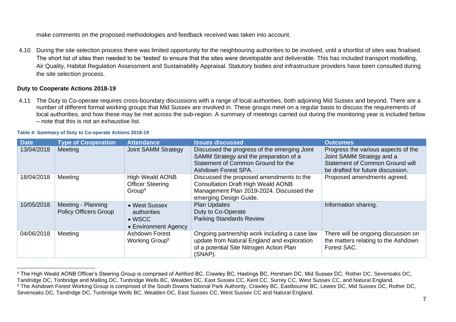make comments on the proposed methodologies and feedback received was taken into account.

4.10 During the site selection process there was limited opportunity for the neighbouring authorities to be involved, until a shortlist of sites was finalised. The short list of sites then needed to be 'tested' to ensure that the sites were developable and deliverable. This has included transport modelling, Air Quality, Habitat Regulation Assessment and Sustainability Appraisal. Statutory bodies and infrastructure providers have been consulted during the site selection process.

# **Duty to Cooperate Actions 2018-19**

4.11 The Duty to Co-operate requires cross-boundary discussions with a range of local authorities, both adjoining Mid Sussex and beyond. There are a number of different formal working groups that Mid Sussex are involved in. These groups meet on a regular basis to discuss the requirements of local authorities, and how these may be met across the sub-region. A summary of meetings carried out during the monitoring year is included below – note that this is not an exhaustive list.

| <b>Date</b> | <b>Type of Cooperation</b>                         | <b>Attendance</b>                                                       | <b>Issues discussed</b>                                                                                                                                     | <b>Outcomes</b>                                                                                                                                 |
|-------------|----------------------------------------------------|-------------------------------------------------------------------------|-------------------------------------------------------------------------------------------------------------------------------------------------------------|-------------------------------------------------------------------------------------------------------------------------------------------------|
| 13/04/2018  | Meeting                                            | <b>Joint SAMM Strategy</b>                                              | Discussed the progress of the emerging Joint<br>SAMM Strategy and the preparation of a<br>Statement of Common Ground for the<br>Ashdown Forest SPA.         | Progress the various aspects of the<br>Joint SAMM Strategy and a<br><b>Statement of Common Ground will</b><br>be drafted for future discussion. |
| 18/04/2018  | Meeting                                            | <b>High Weald AONB</b><br><b>Officer Steering</b><br>Group <sup>4</sup> | Discussed the proposed amendments to the<br><b>Consultation Draft High Weald AONB</b><br>Management Plan 2019-2024. Discussed the<br>emerging Design Guide. | Proposed amendments agreed.                                                                                                                     |
| 10/05/2018  | Meeting - Planning<br><b>Policy Officers Group</b> | • West Sussex<br>authorities<br>$\bullet$ WSCC<br>• Environment Agency  | <b>Plan Updates</b><br>Duty to Co-Operate<br><b>Parking Standards Review</b>                                                                                | Information sharing.                                                                                                                            |
| 04/06/2018  | Meeting                                            | <b>Ashdown Forest</b><br>Working Group <sup>5</sup>                     | Ongoing partnership work including a case law<br>update from Natural England and exploration<br>of a potential Site Nitrogen Action Plan<br>(SNAP).         | There will be ongoing discussion on<br>the matters relating to the Ashdown<br>Forest SAC.                                                       |

#### <span id="page-9-0"></span>**Table 4: Summary of Duty to Co-operate Actions 2018-19**

<sup>4</sup> The High Weald AONB Officer's Steering Group is comprised of Ashford BC, Crawley BC, Hastings BC, Horsham DC, Mid Sussex DC, Rother DC, Sevenoaks DC, Tandridge DC, Tonbridge and Malling DC, Tunbridge Wells BC, Wealden DC, East Sussex CC, Kent CC, Surrey CC, West Sussex CC, and Natural England. <sup>5</sup> The Ashdown Forest Working Group is comprised of the South Downs National Park Authority, Crawley BC, Eastbourne BC, Lewes DC, Mid Sussex DC, Rother DC, Sevenoaks DC, Tandridge DC, Tunbridge Wells BC, Wealden DC, East Sussex CC, West Sussex CC and Natural England.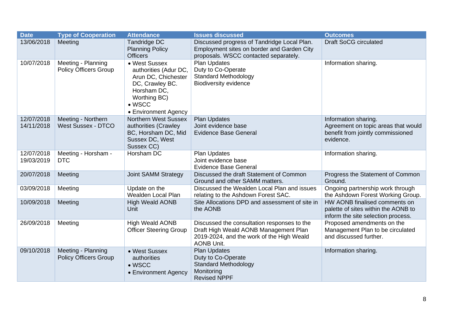| <b>Date</b>              | <b>Type of Cooperation</b>                         | <b>Attendance</b>                                                                                                                                         | <b>Issues discussed</b>                                                                                                                                | <b>Outcomes</b>                                                                                               |
|--------------------------|----------------------------------------------------|-----------------------------------------------------------------------------------------------------------------------------------------------------------|--------------------------------------------------------------------------------------------------------------------------------------------------------|---------------------------------------------------------------------------------------------------------------|
| 13/06/2018               | Meeting                                            | Tandridge DC<br><b>Planning Policy</b><br><b>Officers</b>                                                                                                 | Discussed progress of Tandridge Local Plan.<br>Employment sites on border and Garden City<br>proposals. WSCC contacted separately.                     | <b>Draft SoCG circulated</b>                                                                                  |
| 10/07/2018               | Meeting - Planning<br><b>Policy Officers Group</b> | • West Sussex<br>authorities (Adur DC,<br>Arun DC, Chichester<br>DC, Crawley BC.<br>Horsham DC,<br>Worthing BC)<br>$\bullet$ WSCC<br>• Environment Agency | <b>Plan Updates</b><br>Duty to Co-Operate<br><b>Standard Methodology</b><br><b>Biodiversity evidence</b>                                               | Information sharing.                                                                                          |
| 12/07/2018<br>14/11/2018 | Meeting - Northern<br><b>West Sussex - DTCO</b>    | <b>Northern West Sussex</b><br>authorities (Crawley<br>BC, Horsham DC, Mid<br>Sussex DC, West<br>Sussex CC)                                               | <b>Plan Updates</b><br>Joint evidence base<br><b>Evidence Base General</b>                                                                             | Information sharing.<br>Agreement on topic areas that would<br>benefit from jointly commissioned<br>evidence. |
| 12/07/2018<br>19/03/2019 | Meeting - Horsham -<br><b>DTC</b>                  | Horsham DC                                                                                                                                                | <b>Plan Updates</b><br>Joint evidence base<br><b>Evidence Base General</b>                                                                             | Information sharing.                                                                                          |
| 20/07/2018               | Meeting                                            | Joint SAMM Strategy                                                                                                                                       | Discussed the draft Statement of Common<br>Ground and other SAMM matters.                                                                              | Progress the Statement of Common<br>Ground.                                                                   |
| 03/09/2018               | Meeting                                            | Update on the<br><b>Wealden Local Plan</b>                                                                                                                | Discussed the Wealden Local Plan and issues<br>relating to the Ashdown Forest SAC.                                                                     | Ongoing partnership work through<br>the Ashdown Forest Working Group.                                         |
| 10/09/2018               | Meeting                                            | <b>High Weald AONB</b><br>Unit                                                                                                                            | Site Allocations DPD and assessment of site in<br>the AONB                                                                                             | HW AONB finalised comments on<br>palette of sites within the AONB to<br>inform the site selection process.    |
| 26/09/2018               | Meeting                                            | <b>High Weald AONB</b><br><b>Officer Steering Group</b>                                                                                                   | Discussed the consultation responses to the<br>Draft High Weald AONB Management Plan<br>2019-2024, and the work of the High Weald<br><b>AONB Unit.</b> | Proposed amendments on the<br>Management Plan to be circulated<br>and discussed further.                      |
| 09/10/2018               | Meeting - Planning<br><b>Policy Officers Group</b> | • West Sussex<br>authorities<br>$\bullet$ WSCC<br>• Environment Agency                                                                                    | <b>Plan Updates</b><br>Duty to Co-Operate<br><b>Standard Methodology</b><br>Monitoring<br><b>Revised NPPF</b>                                          | Information sharing.                                                                                          |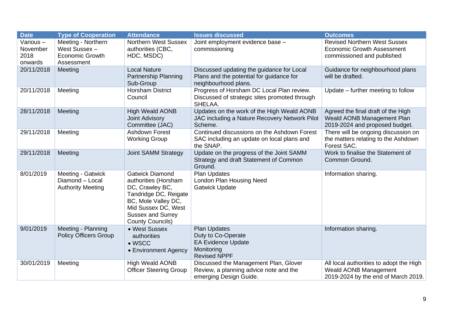| <b>Date</b>                             | <b>Type of Cooperation</b>                                                  | <b>Attendance</b>                                                                                                                                                                               | <b>Issues discussed</b>                                                                                       | <b>Outcomes</b>                                                                                         |
|-----------------------------------------|-----------------------------------------------------------------------------|-------------------------------------------------------------------------------------------------------------------------------------------------------------------------------------------------|---------------------------------------------------------------------------------------------------------------|---------------------------------------------------------------------------------------------------------|
| Various-<br>November<br>2018<br>onwards | Meeting - Northern<br>West Sussex -<br><b>Economic Growth</b><br>Assessment | <b>Northern West Sussex</b><br>authorities (CBC,<br>HDC, MSDC)                                                                                                                                  | Joint employment evidence base -<br>commissioning                                                             | <b>Revised Northern West Sussex</b><br><b>Economic Growth Assessment</b><br>commissioned and published  |
| 20/11/2018                              | Meeting                                                                     | <b>Local Nature</b><br><b>Partnership Planning</b><br>Sub-Group                                                                                                                                 | Discussed updating the guidance for Local<br>Plans and the potential for guidance for<br>neighbourhood plans. | Guidance for neighbourhood plans<br>will be drafted.                                                    |
| 20/11/2018                              | Meeting                                                                     | <b>Horsham District</b><br>Council                                                                                                                                                              | Progress of Horsham DC Local Plan review.<br>Discussed of strategic sites promoted through<br>SHELAA.         | Update – further meeting to follow                                                                      |
| 28/11/2018                              | Meeting                                                                     | <b>High Weald AONB</b><br><b>Joint Advisory</b><br>Committee (JAC)                                                                                                                              | Updates on the work of the High Weald AONB<br>JAC including a Nature Recovery Network Pilot<br>Scheme.        | Agreed the final draft of the High<br>Weald AONB Management Plan<br>2019-2024 and proposed budget.      |
| 29/11/2018                              | Meeting                                                                     | <b>Ashdown Forest</b><br><b>Working Group</b>                                                                                                                                                   | Continued discussions on the Ashdown Forest<br>SAC including an update on local plans and<br>the SNAP.        | There will be ongoing discussion on<br>the matters relating to the Ashdown<br>Forest SAC.               |
| 29/11/2018                              | Meeting                                                                     | <b>Joint SAMM Strategy</b>                                                                                                                                                                      | Update on the progress of the Joint SAMM<br>Strategy and draft Statement of Common<br>Ground.                 | Work to finalise the Statement of<br>Common Ground.                                                     |
| 8/01/2019                               | Meeting - Gatwick<br>Diamond - Local<br><b>Authority Meeting</b>            | <b>Gatwick Diamond</b><br>authorities (Horsham<br>DC, Crawley BC,<br>Tandridge DC, Reigate<br>BC, Mole Valley DC,<br>Mid Sussex DC, West<br><b>Sussex and Surrey</b><br><b>County Councils)</b> | Plan Updates<br>London Plan Housing Need<br><b>Gatwick Update</b>                                             | Information sharing.                                                                                    |
| 9/01/2019                               | Meeting - Planning<br><b>Policy Officers Group</b>                          | • West Sussex<br>authorities<br>$\bullet$ WSCC<br>• Environment Agency                                                                                                                          | <b>Plan Updates</b><br>Duty to Co-Operate<br><b>EA Evidence Update</b><br>Monitoring<br><b>Revised NPPF</b>   | Information sharing.                                                                                    |
| 30/01/2019                              | Meeting                                                                     | <b>High Weald AONB</b><br><b>Officer Steering Group</b>                                                                                                                                         | Discussed the Management Plan, Glover<br>Review, a planning advice note and the<br>emerging Design Guide.     | All local authorities to adopt the High<br>Weald AONB Management<br>2019-2024 by the end of March 2019. |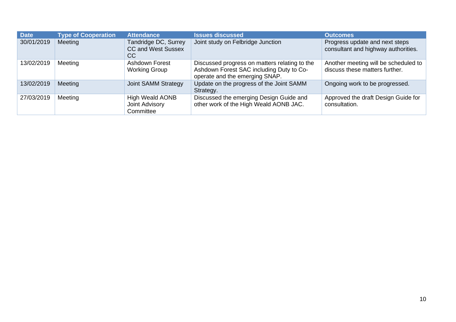| <b>Date</b> | <b>Type of Cooperation</b> | <b>Attendance</b>                                       | <b>Issues discussed</b>                                                                                                     | <b>Outcomes</b>                                                        |
|-------------|----------------------------|---------------------------------------------------------|-----------------------------------------------------------------------------------------------------------------------------|------------------------------------------------------------------------|
| 30/01/2019  | Meeting                    | Tandridge DC, Surrey<br><b>CC and West Sussex</b><br>CC | Joint study on Felbridge Junction                                                                                           | Progress update and next steps<br>consultant and highway authorities.  |
| 13/02/2019  | Meeting                    | <b>Ashdown Forest</b><br><b>Working Group</b>           | Discussed progress on matters relating to the<br>Ashdown Forest SAC including Duty to Co-<br>operate and the emerging SNAP. | Another meeting will be scheduled to<br>discuss these matters further. |
| 13/02/2019  | Meeting                    | Joint SAMM Strategy                                     | Update on the progress of the Joint SAMM<br>Strategy.                                                                       | Ongoing work to be progressed.                                         |
| 27/03/2019  | Meeting                    | <b>High Weald AONB</b><br>Joint Advisory<br>Committee   | Discussed the emerging Design Guide and<br>other work of the High Weald AONB JAC.                                           | Approved the draft Design Guide for<br>consultation.                   |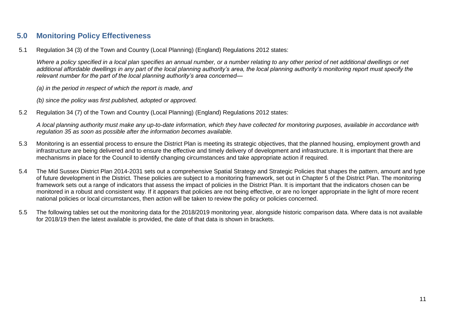# <span id="page-13-0"></span>**5.0 Monitoring Policy Effectiveness**

5.1 Regulation 34 (3) of the Town and Country (Local Planning) (England) Regulations 2012 states:

*Where a policy specified in a local plan specifies an annual number, or a number relating to any other period of net additional dwellings or net additional affordable dwellings in any part of the local planning authority's area, the local planning authority's monitoring report must specify the relevant number for the part of the local planning authority's area concerned—*

*(a) in the period in respect of which the report is made, and*

*(b) since the policy was first published, adopted or approved.*

5.2 Regulation 34 (7) of the Town and Country (Local Planning) (England) Regulations 2012 states:

*A local planning authority must make any up-to-date information, which they have collected for monitoring purposes, available in accordance with regulation 35 as soon as possible after the information becomes available.*

- 5.3 Monitoring is an essential process to ensure the District Plan is meeting its strategic objectives, that the planned housing, employment growth and infrastructure are being delivered and to ensure the effective and timely delivery of development and infrastructure. It is important that there are mechanisms in place for the Council to identify changing circumstances and take appropriate action if required.
- 5.4 The Mid Sussex District Plan 2014-2031 sets out a comprehensive Spatial Strategy and Strategic Policies that shapes the pattern, amount and type of future development in the District. These policies are subject to a monitoring framework, set out in Chapter 5 of the District Plan. The monitoring framework sets out a range of indicators that assess the impact of policies in the District Plan. It is important that the indicators chosen can be monitored in a robust and consistent way. If it appears that policies are not being effective, or are no longer appropriate in the light of more recent national policies or local circumstances, then action will be taken to review the policy or policies concerned.
- 5.5 The following tables set out the monitoring data for the 2018/2019 monitoring year, alongside historic comparison data. Where data is not available for 2018/19 then the latest available is provided, the date of that data is shown in brackets.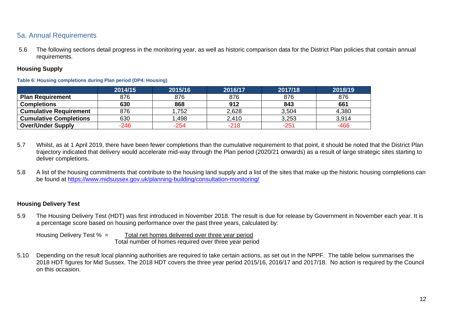# <span id="page-14-0"></span>5a. Annual Requirements

5.6 The following sections detail progress in the monitoring year, as well as historic comparison data for the District Plan policies that contain annual requirements.

# **Housing Supply**

### <span id="page-14-1"></span>**Table 6: Housing completions during Plan period (DP4: Housing)**

|                               | 2014/15 | 2015/16 | 2016/17 | 2017/18 | 2018/19 |
|-------------------------------|---------|---------|---------|---------|---------|
| <b>Plan Requirement</b>       | 876     | 876     | 876     | 876     | 876     |
| <b>Completions</b>            | 630     | 868     | 912     | 843     | 661     |
| <b>Cumulative Requirement</b> | 876     | 1,752   | 2,628   | 3,504   | 4,380   |
| <b>Cumulative Completions</b> | 630     | ,498    | 2,410   | 3,253   | 3,914   |
| <b>Over/Under Supply</b>      | $-246$  | -254    | $-218$  | -251    | $-466$  |

- 5.7 Whilst, as at 1 April 2019, there have been fewer completions than the cumulative requirement to that point, it should be noted that the District Plan trajectory indicated that delivery would accelerate mid-way through the Plan period (2020/21 onwards) as a result of large strategic sites starting to deliver completions.
- 5.8 A list of the housing commitments that contribute to the housing land supply and a list of the sites that make up the historic housing completions can be found at<https://www.midsussex.gov.uk/planning-building/consultation-monitoring/>

# **Housing Delivery Test**

5.9 The Housing Delivery Test (HDT) was first introduced in November 2018. The result is due for release by Government in November each year. It is a percentage score based on housing performance over the past three years, calculated by:

Housing Delivery Test % = Total net homes delivered over three year period Total number of homes required over three year period

5.10 Depending on the result local planning authorities are required to take certain actions, as set out in the NPPF. The table below summarises the 2018 HDT figures for Mid Sussex. The 2018 HDT covers the three year period 2015/16, 2016/17 and 2017/18. No action is required by the Council on this occasion.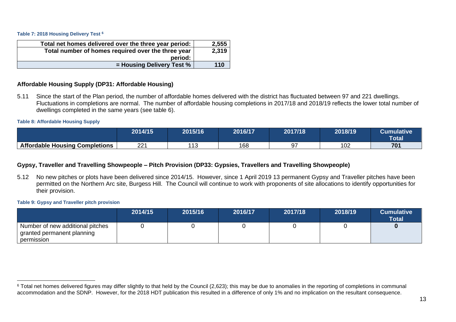<span id="page-15-0"></span>**Table 7: 2018 Housing Delivery Test <sup>6</sup>**

| Total net homes delivered over the three year period: | 2,555 |
|-------------------------------------------------------|-------|
| Total number of homes required over the three year    | 2,319 |
| period:                                               |       |
| $=$ Housing Delivery Test %                           | 110   |

# **Affordable Housing Supply (DP31: Affordable Housing)**

5.11 Since the start of the Plan period, the number of affordable homes delivered with the district has fluctuated between 97 and 221 dwellings. Fluctuations in completions are normal. The number of affordable housing completions in 2017/18 and 2018/19 reflects the lower total number of dwellings completed in the same years (see table 6).

#### <span id="page-15-1"></span>**Table 8: Affordable Housing Supply**

|                                       | 2014/15   | 2015/16                  | 2016/17 | 2017/18 | 2018/19 | Cumulative<br><b>Total</b> |
|---------------------------------------|-----------|--------------------------|---------|---------|---------|----------------------------|
| <b>Affordable Housing Completions</b> | יממ<br>∠∠ | $\lambda$ A $\sim$<br>╵┙ | 168     |         | 102     | 701                        |

# **Gypsy, Traveller and Travelling Showpeople – Pitch Provision (DP33: Gypsies, Travellers and Travelling Showpeople)**

5.12 No new pitches or plots have been delivered since 2014/15. However, since 1 April 2019 13 permanent Gypsy and Traveller pitches have been permitted on the Northern Arc site, Burgess Hill. The Council will continue to work with proponents of site allocations to identify opportunities for their provision.

#### <span id="page-15-2"></span>**Table 9: Gypsy and Traveller pitch provision**

|                                                                                | 2014/15 | 2015/16 | 2016/17 | 2017/18 | 2018/19 | <b>Cumulative</b><br><b>Total</b> |
|--------------------------------------------------------------------------------|---------|---------|---------|---------|---------|-----------------------------------|
| I Number of new additional pitches<br>granted permanent planning<br>permission |         |         |         |         |         |                                   |

<sup>&</sup>lt;sup>6</sup> Total net homes delivered figures may differ slightly to that held by the Council (2,623); this may be due to anomalies in the reporting of completions in communal accommodation and the SDNP. However, for the 2018 HDT publication this resulted in a difference of only 1% and no implication on the resultant consequence.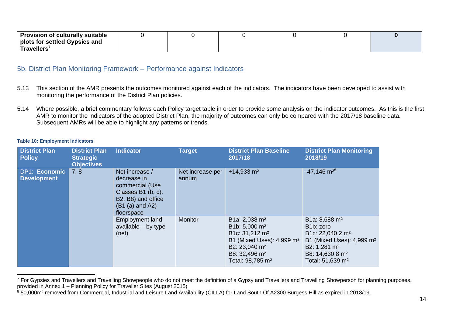| Provision of culturally suitable |  |  |  |
|----------------------------------|--|--|--|
| plots for settled Gypsies and    |  |  |  |
| Travellers'                      |  |  |  |

# <span id="page-16-0"></span>5b. District Plan Monitoring Framework – Performance against Indicators

- 5.13 This section of the AMR presents the outcomes monitored against each of the indicators. The indicators have been developed to assist with monitoring the performance of the District Plan policies.
- 5.14 Where possible, a brief commentary follows each Policy target table in order to provide some analysis on the indicator outcomes. As this is the first AMR to monitor the indicators of the adopted District Plan, the majority of outcomes can only be compared with the 2017/18 baseline data. Subsequent AMRs will be able to highlight any patterns or trends.

#### <span id="page-16-1"></span>**Table 10: Employment indicators**

| <b>District Plan</b><br><b>Policy</b> | <b>District Plan</b><br><b>Strategic</b><br><b>Objectives</b> | <b>Indicator</b>                                                                                                                | <b>Target</b>             | <b>District Plan Baseline</b><br>2017/18                                                                                                                                                                                | <b>District Plan Monitoring</b><br>2018/19                                                                                                                                                                    |
|---------------------------------------|---------------------------------------------------------------|---------------------------------------------------------------------------------------------------------------------------------|---------------------------|-------------------------------------------------------------------------------------------------------------------------------------------------------------------------------------------------------------------------|---------------------------------------------------------------------------------------------------------------------------------------------------------------------------------------------------------------|
| DP1: Economic<br><b>Development</b>   | 7, 8                                                          | Net increase /<br>decrease in<br>commercial (Use<br>Classes B1 (b, c),<br>B2, B8) and office<br>$(B1 (a)$ and A2)<br>floorspace | Net increase per<br>annum | $+14,933$ m <sup>2</sup>                                                                                                                                                                                                | $-47,146$ m <sup>28</sup>                                                                                                                                                                                     |
|                                       |                                                               | <b>Employment land</b><br>available $-$ by type<br>(net)                                                                        | Monitor                   | B1a: 2,038 m <sup>2</sup><br>B1b: 5,000 m <sup>2</sup><br>B1c: 31,212 m <sup>2</sup><br>B1 (Mixed Uses): 4,999 m <sup>2</sup><br>B2: 23,040 m <sup>2</sup><br>B8: 32,496 m <sup>2</sup><br>Total: 98,785 m <sup>2</sup> | B1a: 8,688 m <sup>2</sup><br>B <sub>1</sub> b: zero<br>B1c: 22,040.2 m <sup>2</sup><br>B1 (Mixed Uses): 4,999 m <sup>2</sup><br>B2: 1,281 $m2$<br>B8: 14,630.8 m <sup>2</sup><br>Total: 51,639 m <sup>2</sup> |

<sup>&</sup>lt;sup>7</sup> For Gypsies and Travellers and Travelling Showpeople who do not meet the definition of a Gypsy and Travellers and Travelling Showperson for planning purposes, provided in Annex 1 – Planning Policy for Traveller Sites (August 2015)

<sup>&</sup>lt;sup>8</sup> 50,000m<sup>2</sup> removed from Commercial, Industrial and Leisure Land Availability (CILLA) for Land South Of A2300 Burgess Hill as expired in 2018/19.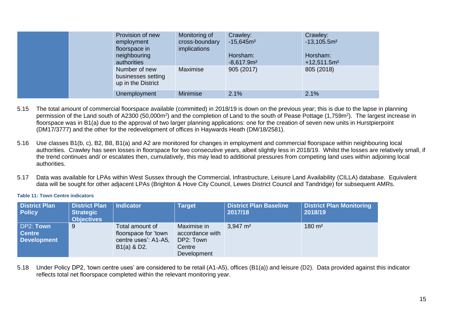|  |  | Provision of new<br>employment<br>floorspace in<br>neighbouring<br>authorities | Monitoring of<br>cross-boundary<br>implications | Crawley:<br>$-15,645m2$<br>Horsham:<br>$-8,617.9m2$ | Crawley:<br>$-13,105.5m2$<br>Horsham:<br>$+12,511.5m2$ |
|--|--|--------------------------------------------------------------------------------|-------------------------------------------------|-----------------------------------------------------|--------------------------------------------------------|
|  |  | Number of new<br>businesses setting<br>up in the District                      | Maximise                                        | 905 (2017)                                          | 805 (2018)                                             |
|  |  | Unemployment                                                                   | Minimise                                        | 2.1%                                                | 2.1%                                                   |

- 5.15 The total amount of commercial floorspace available (committed) in 2018/19 is down on the previous year; this is due to the lapse in planning permission of the Land south of A2300 (50,000m<sup>2</sup>) and the completion of Land to the south of Pease Pottage (1,759m<sup>2</sup>). The largest increase in floorspace was in B1(a) due to the approval of two larger planning applications; one for the creation of seven new units in Hurstpierpoint (DM17/3777) and the other for the redevelopment of offices in Haywards Heath (DM/18/2581).
- 5.16 Use classes B1(b, c), B2, B8, B1(a) and A2 are monitored for changes in employment and commercial floorspace within neighbouring local authorities. Crawley has seen losses in floorspace for two consecutive years, albeit slightly less in 2018/19. Whilst the losses are relatively small, if the trend continues and/ or escalates then, cumulatively, this may lead to additional pressures from competing land uses within adjoining local authorities.
- 5.17 Data was available for LPAs within West Sussex through the Commercial, Infrastructure, Leisure Land Availability (CILLA) database. Equivalent data will be sought for other adjacent LPAs (Brighton & Hove City Council, Lewes District Council and Tandridge) for subsequent AMRs.

#### <span id="page-17-0"></span>**Table 11: Town Centre indicators**

| <b>District Plan</b><br><b>Policy</b>            | <b>District Plan</b><br><b>Strategic</b><br><b>Objectives</b> | <b>Indicator</b>                                                                 | <b>Target</b>                                                        | <b>District Plan Baseline</b><br>2017/18 | <b>District Plan Monitoring</b><br>2018/19 |
|--------------------------------------------------|---------------------------------------------------------------|----------------------------------------------------------------------------------|----------------------------------------------------------------------|------------------------------------------|--------------------------------------------|
| DP2: Town<br><b>Centre</b><br><b>Development</b> | 9                                                             | Total amount of<br>floorspace for 'town<br>centre uses': A1-A5,<br>$B1(a)$ & D2. | Maximise in<br>accordance with<br>DP2: Town<br>Centre<br>Development | $3,947 \text{ m}^2$                      | $180 \; \text{m}^2$                        |

5.18 Under Policy DP2, 'town centre uses' are considered to be retail (A1-A5), offices (B1(a)) and leisure (D2). Data provided against this indicator reflects total net floorspace completed within the relevant monitoring year.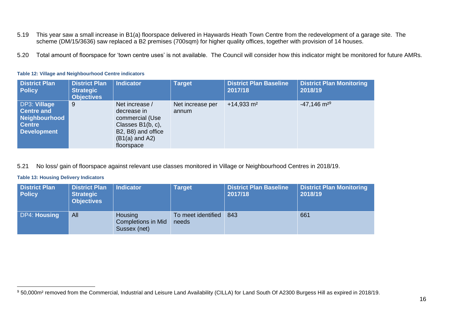- 5.19 This year saw a small increase in B1(a) floorspace delivered in Haywards Heath Town Centre from the redevelopment of a garage site. The scheme (DM/15/3636) saw replaced a B2 premises (700sqm) for higher quality offices, together with provision of 14 houses.
- 5.20 Total amount of floorspace for 'town centre uses' is not available. The Council will consider how this indicator might be monitored for future AMRs.

| <b>District Plan</b><br><b>Policy</b>                                                     | <b>District Plan</b><br><b>Strategic</b><br><b>Objectives</b> | Indicator                                                                                                                     | <b>Target</b>             | <b>District Plan Baseline</b><br>2017/18 | <b>District Plan Monitoring</b><br>2018/19 |
|-------------------------------------------------------------------------------------------|---------------------------------------------------------------|-------------------------------------------------------------------------------------------------------------------------------|---------------------------|------------------------------------------|--------------------------------------------|
| DP3: Village<br><b>Centre and</b><br>Neighbourhood<br><b>Centre</b><br><b>Development</b> | 9                                                             | Net increase /<br>decrease in<br>commercial (Use<br>Classes B1(b, c),<br>B2, B8) and office<br>$(B1(a)$ and A2)<br>floorspace | Net increase per<br>annum | $+14,933$ m <sup>2</sup>                 | $-47,146$ m <sup>29</sup>                  |

# <span id="page-18-0"></span>**Table 12: Village and Neighbourhood Centre indicators**

# 5.21 No loss/ gain of floorspace against relevant use classes monitored in Village or Neighbourhood Centres in 2018/19.

### <span id="page-18-1"></span>**Table 13: Housing Delivery Indicators**

| <b>District Plan</b><br><b>Policy</b> | <b>District Plan</b><br><b>Strategic</b><br><b>Objectives</b> | <b>Indicator</b>                                     | <b>Target</b>               | <b>District Plan Baseline</b><br>2017/18 | <b>District Plan Monitoring</b><br>2018/19 |
|---------------------------------------|---------------------------------------------------------------|------------------------------------------------------|-----------------------------|------------------------------------------|--------------------------------------------|
| <b>DP4: Housing</b>                   | All                                                           | Housing<br><b>Completions in Mid</b><br>Sussex (net) | To meet identified<br>needs | 843                                      | 661                                        |

<sup>9 50,000</sup>m<sup>2</sup> removed from the Commercial, Industrial and Leisure Land Availability (CILLA) for Land South Of A2300 Burgess Hill as expired in 2018/19.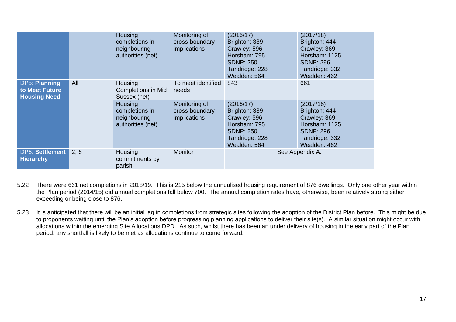|                                                               |      | Housing<br>completions in<br>neighbouring<br>authorities (net)        | Monitoring of<br>cross-boundary<br>implications        | (2016/17)<br>Brighton: 339<br>Crawley: 596<br>Horsham: 795<br><b>SDNP: 250</b><br>Tandridge: 228<br>Wealden: 564 | (2017/18)<br>Brighton: 444<br>Crawley: 369<br>Horsham: 1125<br><b>SDNP: 296</b><br>Tandridge: 332<br>Wealden: 462 |
|---------------------------------------------------------------|------|-----------------------------------------------------------------------|--------------------------------------------------------|------------------------------------------------------------------------------------------------------------------|-------------------------------------------------------------------------------------------------------------------|
| DP5: Planning<br>All<br>to Meet Future<br><b>Housing Need</b> |      | Housing<br><b>Completions in Mid</b><br>Sussex (net)                  | To meet identified<br>needs                            | 843                                                                                                              | 661                                                                                                               |
|                                                               |      | <b>Housing</b><br>completions in<br>neighbouring<br>authorities (net) | Monitoring of<br>cross-boundary<br><i>implications</i> | (2016/17)<br>Brighton: 339<br>Crawley: 596<br>Horsham: 795<br><b>SDNP: 250</b><br>Tandridge: 228<br>Wealden: 564 | (2017/18)<br>Brighton: 444<br>Crawley: 369<br>Horsham: 1125<br><b>SDNP: 296</b><br>Tandridge: 332<br>Wealden: 462 |
| DP6: Settlement<br><b>Hierarchy</b>                           | 2, 6 | Housing<br>commitments by<br>parish                                   | <b>Monitor</b>                                         |                                                                                                                  | See Appendix A.                                                                                                   |

- 5.22 There were 661 net completions in 2018/19. This is 215 below the annualised housing requirement of 876 dwellings. Only one other year within the Plan period (2014/15) did annual completions fall below 700. The annual completion rates have, otherwise, been relatively strong either exceeding or being close to 876.
- 5.23 It is anticipated that there will be an initial lag in completions from strategic sites following the adoption of the District Plan before. This might be due to proponents waiting until the Plan's adoption before progressing planning applications to deliver their site(s). A similar situation might occur with allocations within the emerging Site Allocations DPD. As such, whilst there has been an under delivery of housing in the early part of the Plan period, any shortfall is likely to be met as allocations continue to come forward.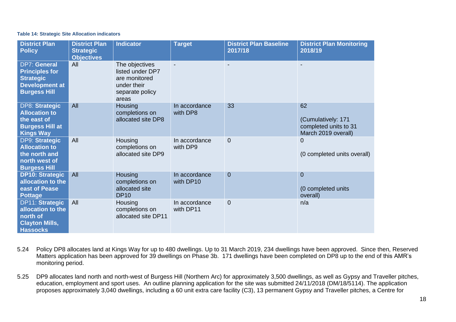#### <span id="page-20-0"></span>**Table 14: Strategic Site Allocation indicators**

| <b>District Plan</b><br><b>Policy</b>                                                                            | <b>District Plan</b><br><b>Strategic</b><br><b>Objectives</b> | <b>Indicator</b>                                                                               | <b>Target</b>              | <b>District Plan Baseline</b><br>2017/18 | <b>District Plan Monitoring</b><br>2018/19                               |
|------------------------------------------------------------------------------------------------------------------|---------------------------------------------------------------|------------------------------------------------------------------------------------------------|----------------------------|------------------------------------------|--------------------------------------------------------------------------|
| <b>DP7: General</b><br><b>Principles for</b><br><b>Strategic</b><br><b>Development at</b><br><b>Burgess Hill</b> | All                                                           | The objectives<br>listed under DP7<br>are monitored<br>under their<br>separate policy<br>areas |                            |                                          | $\blacksquare$                                                           |
| <b>DP8: Strategic</b><br><b>Allocation to</b><br>the east of<br><b>Burgess Hill at</b><br><b>Kings Way</b>       | All                                                           | <b>Housing</b><br>completions on<br>allocated site DP8                                         | In accordance<br>with DP8  | 33                                       | 62<br>(Cumulatively: 171<br>completed units to 31<br>March 2019 overall) |
| DP9: Strategic<br><b>Allocation to</b><br>the north and<br>north west of<br><b>Burgess Hill</b>                  | All                                                           | Housing<br>completions on<br>allocated site DP9                                                | In accordance<br>with DP9  | $\mathbf 0$                              | $\overline{0}$<br>(0 completed units overall)                            |
| <b>DP10: Strategic</b><br>allocation to the<br>east of Pease<br><b>Pottage</b>                                   | All                                                           | <b>Housing</b><br>completions on<br>allocated site<br><b>DP10</b>                              | In accordance<br>with DP10 | $\overline{0}$                           | $\overline{0}$<br>(0 completed units<br>overall)                         |
| <b>DP11: Strategic</b><br>allocation to the<br>north of<br><b>Clayton Mills,</b><br><b>Hassocks</b>              | All                                                           | <b>Housing</b><br>completions on<br>allocated site DP11                                        | In accordance<br>with DP11 | $\overline{0}$                           | n/a                                                                      |

- 5.24 Policy DP8 allocates land at Kings Way for up to 480 dwellings. Up to 31 March 2019, 234 dwellings have been approved. Since then, Reserved Matters application has been approved for 39 dwellings on Phase 3b. 171 dwellings have been completed on DP8 up to the end of this AMR's monitoring period.
- 5.25 DP9 allocates land north and north-west of Burgess Hill (Northern Arc) for approximately 3,500 dwellings, as well as Gypsy and Traveller pitches, education, employment and sport uses. An outline planning application for the site was submitted 24/11/2018 (DM/18/5114). The application proposes approximately 3,040 dwellings, including a 60 unit extra care facility (C3), 13 permanent Gypsy and Traveller pitches, a Centre for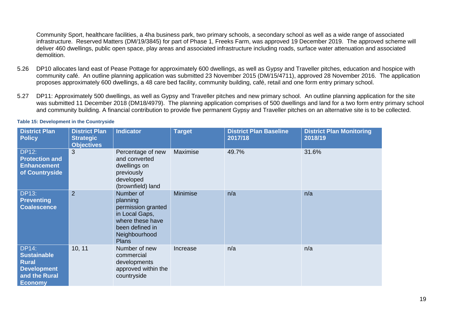Community Sport, healthcare facilities, a 4ha business park, two primary schools, a secondary school as well as a wide range of associated infrastructure. Reserved Matters (DM/19/3845) for part of Phase 1, Freeks Farm, was approved 19 December 2019. The approved scheme will deliver 460 dwellings, public open space, play areas and associated infrastructure including roads, surface water attenuation and associated demolition.

- 5.26 DP10 allocates land east of Pease Pottage for approximately 600 dwellings, as well as Gypsy and Traveller pitches, education and hospice with community café. An outline planning application was submitted 23 November 2015 (DM/15/4711), approved 28 November 2016. The application proposes approximately 600 dwellings, a 48 care bed facility, community building, café, retail and one form entry primary school.
- 5.27 DP11: Approximately 500 dwellings, as well as Gypsy and Traveller pitches and new primary school. An outline planning application for the site was submitted 11 December 2018 (DM18/4979). The planning application comprises of 500 dwellings and land for a two form entry primary school and community building. A financial contribution to provide five permanent Gypsy and Traveller pitches on an alternative site is to be collected.

| <b>District Plan</b><br><b>Policy</b>                                                                       | <b>District Plan</b><br><b>Strategic</b><br><b>Objectives</b> | <b>Indicator</b>                                                                                                                      | <b>Target</b>   | <b>District Plan Baseline</b><br>2017/18 | <b>District Plan Monitoring</b><br>2018/19 |
|-------------------------------------------------------------------------------------------------------------|---------------------------------------------------------------|---------------------------------------------------------------------------------------------------------------------------------------|-----------------|------------------------------------------|--------------------------------------------|
| <b>DP12:</b><br><b>Protection and</b><br><b>Enhancement</b><br>of Countryside                               | 3                                                             | Percentage of new<br>and converted<br>dwellings on<br>previously<br>developed<br>(brownfield) land                                    | Maximise        | 49.7%                                    | 31.6%                                      |
| <b>DP13:</b><br><b>Preventing</b><br><b>Coalescence</b>                                                     | $\overline{2}$                                                | Number of<br>planning<br>permission granted<br>in Local Gaps,<br>where these have<br>been defined in<br>Neighbourhood<br><b>Plans</b> | <b>Minimise</b> | n/a                                      | n/a                                        |
| <b>DP14:</b><br><b>Sustainable</b><br><b>Rural</b><br><b>Development</b><br>and the Rural<br><b>Economy</b> | 10, 11                                                        | Number of new<br>commercial<br>developments<br>approved within the<br>countryside                                                     | Increase        | n/a                                      | n/a                                        |

#### <span id="page-21-0"></span>**Table 15: Development in the Countryside**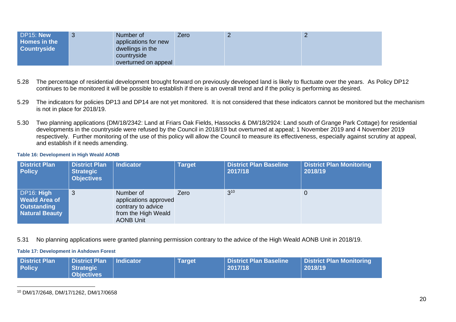| DP15: New<br><b>Homes in the</b><br><b>Countryside</b> |  | Number of<br>applications for new<br>dwellings in the<br>countryside<br>overturned on appeal | Zero |  |  |
|--------------------------------------------------------|--|----------------------------------------------------------------------------------------------|------|--|--|
|--------------------------------------------------------|--|----------------------------------------------------------------------------------------------|------|--|--|

- 5.28 The percentage of residential development brought forward on previously developed land is likely to fluctuate over the years. As Policy DP12 continues to be monitored it will be possible to establish if there is an overall trend and if the policy is performing as desired.
- 5.29 The indicators for policies DP13 and DP14 are not yet monitored. It is not considered that these indicators cannot be monitored but the mechanism is not in place for 2018/19.
- 5.30 Two planning applications (DM/18/2342: Land at Friars Oak Fields, Hassocks & DM/18/2924: Land south of Grange Park Cottage) for residential developments in the countryside were refused by the Council in 2018/19 but overturned at appeal; 1 November 2019 and 4 November 2019 respectively. Further monitoring of the use of this policy will allow the Council to measure its effectiveness, especially against scrutiny at appeal, and establish if it needs amending.

#### <span id="page-22-0"></span>**Table 16: Development in High Weald AONB**

| <b>District Plan</b><br><b>Policy</b>                                             | <b>District Plan</b><br><b>Strategic</b><br><b>Objectives</b> | <b>Indicator</b>                                                                                    | <b>Target</b> | <b>District Plan Baseline</b><br>2017/18 | <b>District Plan Monitoring</b><br>2018/19 |
|-----------------------------------------------------------------------------------|---------------------------------------------------------------|-----------------------------------------------------------------------------------------------------|---------------|------------------------------------------|--------------------------------------------|
| DP16: High<br><b>Weald Area of</b><br><b>Outstanding</b><br><b>Natural Beauty</b> | 3                                                             | Number of<br>applications approved<br>contrary to advice<br>from the High Weald<br><b>AONB Unit</b> | Zero          | $3^{10}$                                 | 0                                          |

5.31 No planning applications were granted planning permission contrary to the advice of the High Weald AONB Unit in 2018/19.

#### <span id="page-22-1"></span>**Table 17: Development in Ashdown Forest**

| <b>District Plan</b><br><b>Policy</b> | District Plan   Indicator<br>Strategic<br>Objectives |  | Target | District Plan Baseline<br>2017/18 | District Plan Monitoring<br>2018/19 |
|---------------------------------------|------------------------------------------------------|--|--------|-----------------------------------|-------------------------------------|
|---------------------------------------|------------------------------------------------------|--|--------|-----------------------------------|-------------------------------------|

<sup>10</sup> DM/17/2648, DM/17/1262, DM/17/0658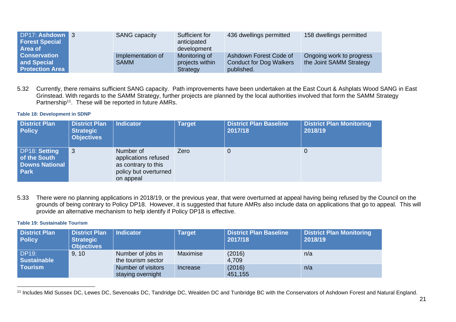| DP17: Ashdown 3<br><b>Forest Special</b><br><b>Area of</b>   | <b>SANG capacity</b>             | Sufficient for<br>anticipated<br>development | 436 dwellings permitted                                                | 158 dwellings permitted                             |
|--------------------------------------------------------------|----------------------------------|----------------------------------------------|------------------------------------------------------------------------|-----------------------------------------------------|
| <b>Conservation</b><br>and Special<br><b>Protection Area</b> | Implementation of<br><b>SAMM</b> | Monitoring of<br>projects within<br>Strategy | Ashdown Forest Code of<br><b>Conduct for Dog Walkers</b><br>published. | Ongoing work to progress<br>the Joint SAMM Strategy |

5.32 Currently, there remains sufficient SANG capacity. Path improvements have been undertaken at the East Court & Ashplats Wood SANG in East Grinstead. With regards to the SAMM Strategy, further projects are planned by the local authorities involved that form the SAMM Strategy Partnership<sup>11</sup>. These will be reported in future AMRs.

#### <span id="page-23-0"></span>**Table 18: Development in SDNP**

| <b>District Plan</b><br><b>Policy</b>                                        | <b>District Plan</b><br><b>Strategic</b><br><b>Objectives</b> | <b>Indicator</b>                                                                               | <b>Target</b> | <b>District Plan Baseline</b><br>2017/18 | <b>District Plan Monitoring</b><br>2018/19 |
|------------------------------------------------------------------------------|---------------------------------------------------------------|------------------------------------------------------------------------------------------------|---------------|------------------------------------------|--------------------------------------------|
| <b>DP18: Setting</b><br>of the South<br><b>Downs National</b><br><b>Park</b> | 3                                                             | Number of<br>applications refused<br>as contrary to this<br>policy but overturned<br>on appeal | Zero          |                                          |                                            |

5.33 There were no planning applications in 2018/19, or the previous year, that were overturned at appeal having being refused by the Council on the grounds of being contrary to Policy DP18. However, it is suggested that future AMRs also include data on applications that go to appeal. This will provide an alternative mechanism to help identify if Policy DP18 is effective.

#### <span id="page-23-1"></span>**Table 19: Sustainable Tourism**

| <b>District Plan</b><br><b>Policy</b> | <b>District Plan</b><br><b>Strategic</b><br><b>Objectives</b> | <b>Indicator</b>                        | <b>Target</b> | <b>District Plan Baseline</b><br>2017/18 | <b>District Plan Monitoring</b><br>2018/19 |
|---------------------------------------|---------------------------------------------------------------|-----------------------------------------|---------------|------------------------------------------|--------------------------------------------|
| <b>DP19:</b><br><b>Sustainable</b>    | 9, 10                                                         | Number of jobs in<br>the tourism sector | Maximise      | (2016)<br>4,709                          | n/a                                        |
| <b>Tourism</b>                        |                                                               | Number of visitors<br>staying overnight | Increase      | (2016)<br>451,155                        | n/a                                        |

<sup>&</sup>lt;sup>11</sup> Includes Mid Sussex DC, Lewes DC, Sevenoaks DC, Tandridge DC, Wealden DC and Tunbridge BC with the Conservators of Ashdown Forest and Natural England.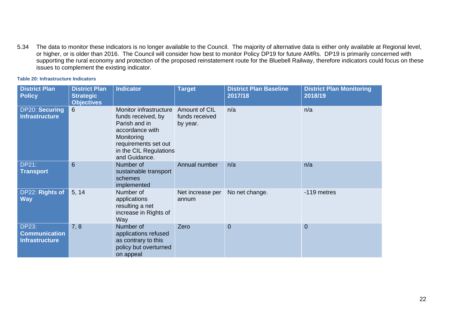5.34 The data to monitor these indicators is no longer available to the Council. The majority of alternative data is either only available at Regional level, or higher, or is older than 2016. The Council will consider how best to monitor Policy DP19 for future AMRs. DP19 is primarily concerned with supporting the rural economy and protection of the proposed reinstatement route for the Bluebell Railway, therefore indicators could focus on these issues to complement the existing indicator.

<span id="page-24-0"></span>

|  |  | <b>Table 20: Infrastructure Indicators</b> |  |
|--|--|--------------------------------------------|--|
|--|--|--------------------------------------------|--|

| <b>District Plan</b><br><b>Policy</b>                         | <b>District Plan</b><br><b>Strategic</b><br><b>Objectives</b> | <b>Indicator</b>                                                                                                                                                  | <b>Target</b>                               | <b>District Plan Baseline</b><br>2017/18 | <b>District Plan Monitoring</b><br>2018/19 |
|---------------------------------------------------------------|---------------------------------------------------------------|-------------------------------------------------------------------------------------------------------------------------------------------------------------------|---------------------------------------------|------------------------------------------|--------------------------------------------|
| DP20: Securing<br><b>Infrastructure</b>                       | 6                                                             | Monitor infrastructure<br>funds received, by<br>Parish and in<br>accordance with<br>Monitoring<br>requirements set out<br>in the CIL Regulations<br>and Guidance. | Amount of CIL<br>funds received<br>by year. | n/a                                      | n/a                                        |
| <b>DP21:</b><br><b>Transport</b>                              | $6\phantom{1}6$                                               | Number of<br>sustainable transport<br>schemes<br>implemented                                                                                                      | Annual number                               | n/a                                      | n/a                                        |
| DP22: Rights of<br><b>Way</b>                                 | 5, 14                                                         | Number of<br>applications<br>resulting a net<br>increase in Rights of<br>Way                                                                                      | Net increase per<br>annum                   | No net change.                           | -119 metres                                |
| <b>DP23:</b><br><b>Communication</b><br><b>Infrastructure</b> | 7, 8                                                          | Number of<br>applications refused<br>as contrary to this<br>policy but overturned<br>on appeal                                                                    | Zero                                        | $\overline{0}$                           | $\overline{0}$                             |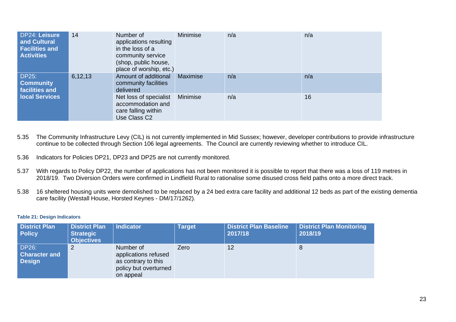| <b>DP24: Leisure</b><br>and Cultural<br><b>Facilities and</b><br><b>Activities</b> | 14      | Number of<br>applications resulting<br>in the loss of a<br>community service<br>(shop, public house,<br>place of worship, etc.) | <b>Minimise</b> | n/a | n/a |
|------------------------------------------------------------------------------------|---------|---------------------------------------------------------------------------------------------------------------------------------|-----------------|-----|-----|
| <b>DP25:</b><br><b>Community</b><br>facilities and                                 | 6,12,13 | Amount of additional<br>community facilities<br>delivered                                                                       | <b>Maximise</b> | n/a | n/a |
| <b>local Services</b>                                                              |         | Net loss of specialist<br>accommodation and<br>care falling within<br>Use Class C <sub>2</sub>                                  | Minimise        | n/a | 16  |

- 5.35 The Community Infrastructure Levy (CIL) is not currently implemented in Mid Sussex; however, developer contributions to provide infrastructure continue to be collected through Section 106 legal agreements. The Council are currently reviewing whether to introduce CIL.
- 5.36 Indicators for Policies DP21, DP23 and DP25 are not currently monitored.
- 5.37 With regards to Policy DP22, the number of applications has not been monitored it is possible to report that there was a loss of 119 metres in 2018/19. Two Diversion Orders were confirmed in Lindfield Rural to rationalise some disused cross field paths onto a more direct track.
- 5.38 16 sheltered housing units were demolished to be replaced by a 24 bed extra care facility and additional 12 beds as part of the existing dementia care facility (Westall House, Horsted Keynes - DM/17/1262).

#### <span id="page-25-0"></span>**Table 21: Design Indicators**

| <b>District Plan</b><br><b>Policy</b>                 | <b>District Plan</b><br><b>Strategic</b><br><b>Objectives</b> | <b>Indicator</b>                                                                               | <b>Target</b> | <b>District Plan Baseline</b><br>2017/18 | <b>District Plan Monitoring</b><br>2018/19 |
|-------------------------------------------------------|---------------------------------------------------------------|------------------------------------------------------------------------------------------------|---------------|------------------------------------------|--------------------------------------------|
| <b>DP26:</b><br><b>Character and</b><br><b>Design</b> | 2                                                             | Number of<br>applications refused<br>as contrary to this<br>policy but overturned<br>on appeal | Zero          | 12                                       | 8                                          |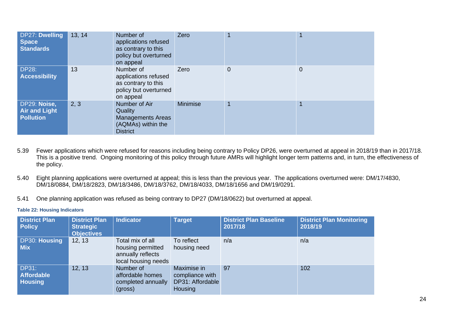| DP27: Dwelling<br><b>Space</b><br><b>Standards</b>       | 13, 14 | Number of<br>applications refused<br>as contrary to this<br>policy but overturned<br>on appeal | Zero            |                |   |
|----------------------------------------------------------|--------|------------------------------------------------------------------------------------------------|-----------------|----------------|---|
| <b>DP28:</b><br><b>Accessibility</b>                     | 13     | Number of<br>applications refused<br>as contrary to this<br>policy but overturned<br>on appeal | Zero            | $\overline{0}$ | 0 |
| DP29: Noise,<br><b>Air and Light</b><br><b>Pollution</b> | 2, 3   | Number of Air<br>Quality<br><b>Managements Areas</b><br>(AQMAs) within the<br><b>District</b>  | <b>Minimise</b> | 1              |   |

- 5.39 Fewer applications which were refused for reasons including being contrary to Policy DP26, were overturned at appeal in 2018/19 than in 2017/18. This is a positive trend. Ongoing monitoring of this policy through future AMRs will highlight longer term patterns and, in turn, the effectiveness of the policy.
- 5.40 Eight planning applications were overturned at appeal; this is less than the previous year. The applications overturned were: DM/17/4830, DM/18/0884, DM/18/2823, DM/18/3486, DM/18/3762, DM/18/4033, DM/18/1656 and DM/19/0291.
- 5.41 One planning application was refused as being contrary to DP27 (DM/18/0622) but overturned at appeal.

### <span id="page-26-0"></span>**Table 22: Housing Indicators**

| <b>District Plan</b><br><b>Policy</b>               | <b>District Plan</b><br><b>Strategic</b><br><b>Objectives</b> | <b>Indicator</b>                                                                  | <b>Target</b>                                                        | <b>District Plan Baseline</b><br>2017/18 | <b>District Plan Monitoring</b><br>2018/19 |
|-----------------------------------------------------|---------------------------------------------------------------|-----------------------------------------------------------------------------------|----------------------------------------------------------------------|------------------------------------------|--------------------------------------------|
| DP30: Housing<br><b>Mix</b>                         | 12, 13                                                        | Total mix of all<br>housing permitted<br>annually reflects<br>local housing needs | To reflect<br>housing need                                           | n/a                                      | n/a                                        |
| <b>DP31:</b><br><b>Affordable</b><br><b>Housing</b> | 12, 13                                                        | Number of<br>affordable homes<br>completed annually<br>(gross)                    | Maximise in<br>compliance with<br>DP31: Affordable<br><b>Housing</b> | 97                                       | 102                                        |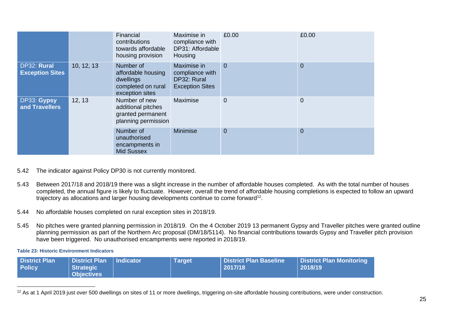|                                         |                                                                                 | Financial<br>contributions<br>towards affordable<br>housing provision                 | Maximise in<br>compliance with<br>DP31: Affordable<br>Housing           | £0.00          | £0.00          |
|-----------------------------------------|---------------------------------------------------------------------------------|---------------------------------------------------------------------------------------|-------------------------------------------------------------------------|----------------|----------------|
| DP32: Rural<br><b>Exception Sites</b>   | 10, 12, 13                                                                      | Number of<br>affordable housing<br>dwellings<br>completed on rural<br>exception sites | Maximise in<br>compliance with<br>DP32: Rural<br><b>Exception Sites</b> | $\overline{0}$ | $\overline{0}$ |
| DP33: Gypsy<br>12, 13<br>and Travellers | Number of new<br>additional pitches<br>granted permanent<br>planning permission | Maximise                                                                              | $\mathbf 0$                                                             | $\mathbf 0$    |                |
|                                         | Number of<br>unauthorised<br>encampments in<br><b>Mid Sussex</b>                | Minimise                                                                              | $\overline{0}$                                                          | $\overline{0}$ |                |

# 5.42 The indicator against Policy DP30 is not currently monitored.

- 5.43 Between 2017/18 and 2018/19 there was a slight increase in the number of affordable houses completed. As with the total number of houses completed, the annual figure is likely to fluctuate. However, overall the trend of affordable housing completions is expected to follow an upward trajectory as allocations and larger housing developments continue to come forward<sup>12</sup>.
- 5.44 No affordable houses completed on rural exception sites in 2018/19.
- 5.45 No pitches were granted planning permission in 2018/19. On the 4 October 2019 13 permanent Gypsy and Traveller pitches were granted outline planning permission as part of the Northern Arc proposal (DM/18/5114). No financial contributions towards Gypsy and Traveller pitch provision have been triggered. No unauthorised encampments were reported in 2018/19.

#### <span id="page-27-0"></span>**Table 23: Historic Environment Indicators**

| <b>District Plan</b> | District Plan   Indicator | <b>Target</b> | District Plan Baseline | <b>District Plan Monitoring</b> |
|----------------------|---------------------------|---------------|------------------------|---------------------------------|
| <b>Policy</b>        | Strategic                 |               | 2017/18                | 2018/19                         |
|                      | <b>Objectives</b>         |               |                        |                                 |

<sup>&</sup>lt;sup>12</sup> As at 1 April 2019 just over 500 dwellings on sites of 11 or more dwellings, triggering on-site affordable housing contributions, were under construction.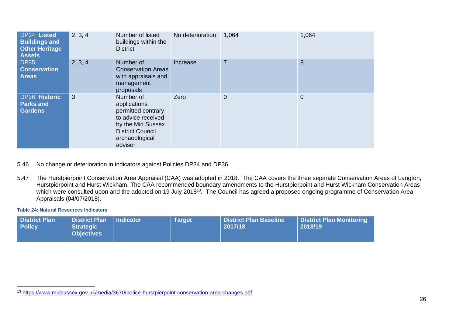| DP34: Listed<br><b>Buildings and</b><br><b>Other Heritage</b><br><b>Assets</b> | 2, 3, 4 | Number of listed<br>buildings within the<br><b>District</b>                                                                                        | No deterioration | 1,064          | 1,064          |
|--------------------------------------------------------------------------------|---------|----------------------------------------------------------------------------------------------------------------------------------------------------|------------------|----------------|----------------|
| <b>DP35:</b><br><b>Conservation</b><br><b>Areas</b>                            | 2, 3, 4 | Number of<br><b>Conservation Areas</b><br>with appraisals and<br>management<br>proposals                                                           | Increase         | $\overline{7}$ | 8              |
| <b>DP36: Historic</b><br><b>Parks and</b><br><b>Gardens</b>                    | 3       | Number of<br>applications<br>permitted contrary<br>to advice received<br>by the Mid Sussex<br><b>District Council</b><br>archaeological<br>adviser | Zero             | 0              | $\overline{0}$ |

- 5.46 No change or deterioration in indicators against Policies DP34 and DP36.
- 5.47 The Hurstpierpoint Conservation Area Appraisal (CAA) was adopted in 2018. The CAA covers the three separate Conservation Areas of Langton, Hurstpierpoint and Hurst Wickham. The CAA recommended boundary amendments to the Hurstpierpoint and Hurst Wickham Conservation Areas which were consulted upon and the adopted on 19 July 2018<sup>13</sup>. The Council has agreed a proposed ongoing programme of Conservation Area Appraisals (04/07/2018).

#### <span id="page-28-0"></span>**Table 24: Natural Resources Indicators**

| <b>District Plan</b><br><b>Policy</b> | <b>District Plan</b><br>Strategic<br><b>Objectives</b> | Indicator | Target | <b>District Plan Baseline</b><br>2017/18 | District Plan Monitoring<br>2018/19 |
|---------------------------------------|--------------------------------------------------------|-----------|--------|------------------------------------------|-------------------------------------|
|---------------------------------------|--------------------------------------------------------|-----------|--------|------------------------------------------|-------------------------------------|

<sup>13</sup> <https://www.midsussex.gov.uk/media/3670/notice-hurstpierpoint-conservation-area-changes.pdf>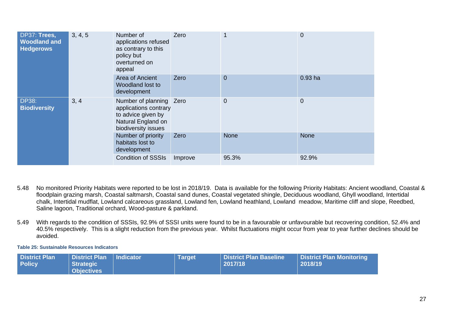| DP37: Trees,<br>3, 4, 5<br><b>Woodland and</b><br><b>Hedgerows</b> | Number of<br>applications refused<br>as contrary to this<br>policy but<br>overturned on<br>appeal                   | Zero                      |                | $\overline{0}$ |
|--------------------------------------------------------------------|---------------------------------------------------------------------------------------------------------------------|---------------------------|----------------|----------------|
|                                                                    | Area of Ancient<br>Woodland lost to<br>development                                                                  | Zero                      | $\overline{0}$ | $0.93$ ha      |
| 3, 4<br><b>DP38:</b><br><b>Biodiversity</b>                        | Number of planning Zero<br>applications contrary<br>to advice given by<br>Natural England on<br>biodiversity issues |                           | $\overline{0}$ | $\mathbf 0$    |
|                                                                    | Number of priority<br>habitats lost to<br>development                                                               | Zero                      | <b>None</b>    | None           |
|                                                                    |                                                                                                                     | <b>Condition of SSSIs</b> | Improve        | 95.3%          |

5.48 No monitored Priority Habitats were reported to be lost in 2018/19. Data is available for the following Priority Habitats: Ancient woodland, Coastal & floodplain grazing marsh, Coastal saltmarsh, Coastal sand dunes, Coastal vegetated shingle, Deciduous woodland, Ghyll woodland, Intertidal chalk, Intertidal mudflat, Lowland calcareous grassland, Lowland fen, Lowland heathland, Lowland meadow, Maritime cliff and slope, Reedbed, Saline lagoon, Traditional orchard, Wood-pasture & parkland.

5.49 With regards to the condition of SSSIs, 92.9% of SSSI units were found to be in a favourable or unfavourable but recovering condition, 52.4% and 40.5% respectively. This is a slight reduction from the previous year. Whilst fluctuations might occur from year to year further declines should be avoided.

<span id="page-29-0"></span>**Table 25: Sustainable Resources Indicators**

| <b>District Plan</b> | <b>District Plan   Indicator</b> | <b>Target</b> | <b>District Plan Baseline</b> | District Plan Monitoring |
|----------------------|----------------------------------|---------------|-------------------------------|--------------------------|
| <b>Policy</b>        | Strategic                        |               | 2017/18                       | 2018/19                  |
|                      | <b>Objectives</b>                |               |                               |                          |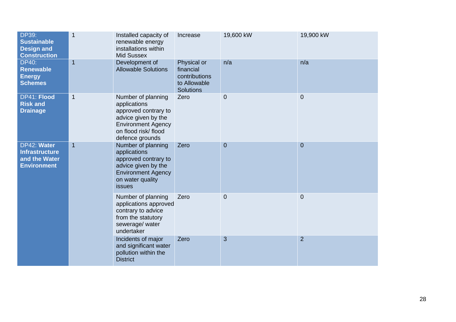| <b>DP39:</b><br><b>Sustainable</b><br><b>Design and</b><br><b>Construction</b>              | $\mathbf{1}$                                                                                                             | Installed capacity of<br>renewable energy<br>installations within<br><b>Mid Sussex</b>                                                                   | Increase                                                                      | 19,600 kW      | 19,900 kW      |
|---------------------------------------------------------------------------------------------|--------------------------------------------------------------------------------------------------------------------------|----------------------------------------------------------------------------------------------------------------------------------------------------------|-------------------------------------------------------------------------------|----------------|----------------|
| <b>DP40:</b><br>Renewable<br><b>Energy</b><br><b>Schemes</b>                                | $\mathbf{1}$                                                                                                             | Development of<br><b>Allowable Solutions</b>                                                                                                             | Physical or<br>financial<br>contributions<br>to Allowable<br><b>Solutions</b> | n/a            | n/a            |
| DP41: Flood<br><b>Risk and</b><br><b>Drainage</b>                                           | $\mathbf 1$                                                                                                              | Number of planning<br>applications<br>approved contrary to<br>advice given by the<br><b>Environment Agency</b><br>on flood risk/flood<br>defence grounds | Zero                                                                          | $\overline{0}$ | $\overline{0}$ |
| DP42: Water<br>$\mathbf{1}$<br><b>Infrastructure</b><br>and the Water<br><b>Environment</b> |                                                                                                                          | Number of planning<br>applications<br>approved contrary to<br>advice given by the<br><b>Environment Agency</b><br>on water quality<br>issues             | Zero                                                                          | $\overline{0}$ | $\overline{0}$ |
|                                                                                             | Number of planning<br>applications approved<br>contrary to advice<br>from the statutory<br>sewerage/ water<br>undertaker | Zero                                                                                                                                                     | $\overline{0}$                                                                | $\overline{0}$ |                |
|                                                                                             |                                                                                                                          | Incidents of major<br>and significant water<br>pollution within the<br><b>District</b>                                                                   | Zero                                                                          | 3              | $\overline{2}$ |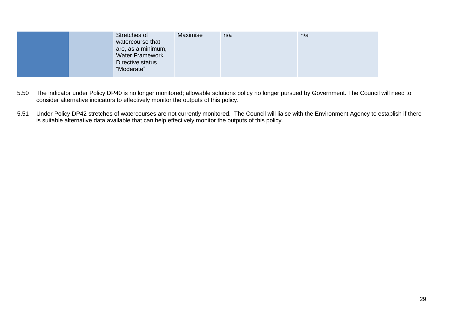| Stretches of<br>watercourse that<br>are, as a minimum,<br><b>Water Framework</b><br>Directive status | Maximise | n/a | n/a |
|------------------------------------------------------------------------------------------------------|----------|-----|-----|
| "Moderate"                                                                                           |          |     |     |

- 5.50 The indicator under Policy DP40 is no longer monitored; allowable solutions policy no longer pursued by Government. The Council will need to consider alternative indicators to effectively monitor the outputs of this policy.
- 5.51 Under Policy DP42 stretches of watercourses are not currently monitored. The Council will liaise with the Environment Agency to establish if there is suitable alternative data available that can help effectively monitor the outputs of this policy.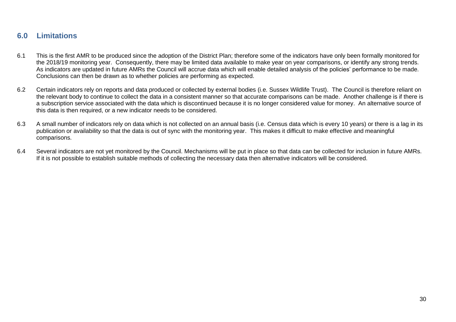# <span id="page-32-0"></span>**6.0 Limitations**

- 6.1 This is the first AMR to be produced since the adoption of the District Plan; therefore some of the indicators have only been formally monitored for the 2018/19 monitoring year. Consequently, there may be limited data available to make year on year comparisons, or identify any strong trends. As indicators are updated in future AMRs the Council will accrue data which will enable detailed analysis of the policies' performance to be made. Conclusions can then be drawn as to whether policies are performing as expected.
- 6.2 Certain indicators rely on reports and data produced or collected by external bodies (i.e. Sussex Wildlife Trust). The Council is therefore reliant on the relevant body to continue to collect the data in a consistent manner so that accurate comparisons can be made. Another challenge is if there is a subscription service associated with the data which is discontinued because it is no longer considered value for money. An alternative source of this data is then required, or a new indicator needs to be considered.
- 6.3 A small number of indicators rely on data which is not collected on an annual basis (i.e. Census data which is every 10 years) or there is a lag in its publication or availability so that the data is out of sync with the monitoring year. This makes it difficult to make effective and meaningful comparisons.
- 6.4 Several indicators are not yet monitored by the Council. Mechanisms will be put in place so that data can be collected for inclusion in future AMRs. If it is not possible to establish suitable methods of collecting the necessary data then alternative indicators will be considered.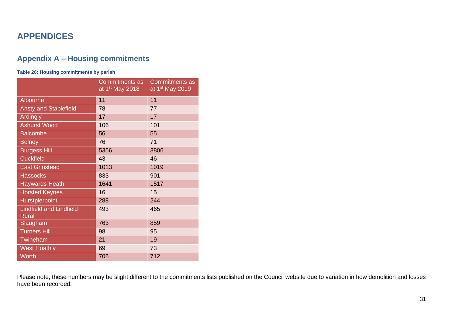# <span id="page-33-0"></span>**APPENDICES**

# <span id="page-33-1"></span>**Appendix A – Housing commitments**

### <span id="page-33-2"></span>**Table 26: Housing commitments by parish**

|                                                | Commitments as<br>at 1 <sup>st</sup> May 2018 | <b>Commitments as</b><br>at 1 <sup>st</sup> May 2019 |
|------------------------------------------------|-----------------------------------------------|------------------------------------------------------|
| Albourne                                       | 11                                            | 11                                                   |
| <b>Ansty and Staplefield</b>                   | 78                                            | 77                                                   |
| Ardingly                                       | 17                                            | 17                                                   |
| <b>Ashurst Wood</b>                            | 106                                           | 101                                                  |
| <b>Balcombe</b>                                | 56                                            | 55                                                   |
| <b>Bolney</b>                                  | 76                                            | 71                                                   |
| <b>Burgess Hill</b>                            | 5356                                          | 3806                                                 |
| <b>Cuckfield</b>                               | 43                                            | 46                                                   |
| <b>East Grinstead</b>                          | 1013                                          | 1019                                                 |
| <b>Hassocks</b>                                | 833                                           | 901                                                  |
| <b>Haywards Heath</b>                          | 1641                                          | 1517                                                 |
| <b>Horsted Keynes</b>                          | 16                                            | 15                                                   |
| Hurstpierpoint                                 | 288                                           | 244                                                  |
| <b>Lindfield and Lindfield</b><br><b>Rural</b> | 493                                           | 465                                                  |
| Slaugham                                       | 763                                           | 859                                                  |
| <b>Turners Hill</b>                            | 98                                            | 95                                                   |
| Twineham                                       | 21                                            | 19                                                   |
| <b>West Hoathly</b>                            | 69                                            | 73                                                   |
| Worth                                          | 706                                           | 712                                                  |

Please note, these numbers may be slight different to the commitments lists published on the Council website due to variation in how demolition and losses have been recorded.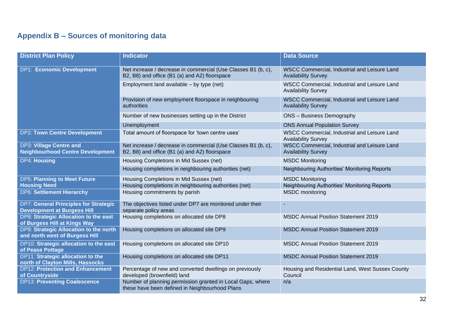# <span id="page-34-0"></span>**Appendix B – Sources of monitoring data**

| <b>District Plan Policy</b>                                                        | <b>Indicator</b>                                                                                               | <b>Data Source</b>                                                         |
|------------------------------------------------------------------------------------|----------------------------------------------------------------------------------------------------------------|----------------------------------------------------------------------------|
|                                                                                    |                                                                                                                |                                                                            |
| <b>DP1: Economic Development</b>                                                   | Net increase / decrease in commercial (Use Classes B1 (b, c),<br>B2, B8) and office (B1 (a) and A2) floorspace | WSCC Commercial, Industrial and Leisure Land<br><b>Availability Survey</b> |
|                                                                                    | Employment land available - by type (net)                                                                      | WSCC Commercial, Industrial and Leisure Land<br><b>Availability Survey</b> |
|                                                                                    | Provision of new employment floorspace in neighbouring<br>authorities                                          | WSCC Commercial, Industrial and Leisure Land<br><b>Availability Survey</b> |
|                                                                                    | Number of new businesses setting up in the District                                                            | <b>ONS</b> - Business Demography                                           |
|                                                                                    | Unemployment                                                                                                   | <b>ONS Annual Population Survey</b>                                        |
| <b>DP2: Town Centre Development</b>                                                | Total amount of floorspace for 'town centre uses'                                                              | WSCC Commercial, Industrial and Leisure Land<br><b>Availability Survey</b> |
| <b>DP3: Village Centre and</b><br><b>Neighbourhood Centre Development</b>          | Net increase / decrease in commercial (Use Classes B1 (b, c),<br>B2, B8) and office (B1 (a) and A2) floorspace | WSCC Commercial, Industrial and Leisure Land<br><b>Availability Survey</b> |
| <b>DP4: Housing</b>                                                                | Housing Completions in Mid Sussex (net)                                                                        | <b>MSDC Monitoring</b>                                                     |
|                                                                                    | Housing completions in neighbouring authorities (net)                                                          | Neighbouring Authorities' Monitoring Reports                               |
| <b>DP5: Planning to Meet Future</b>                                                | Housing Completions in Mid Sussex (net)                                                                        | <b>MSDC Monitoring</b>                                                     |
| <b>Housing Need</b>                                                                | Housing completions in neighbouring authorities (net)                                                          | Neighbouring Authorities' Monitoring Reports                               |
| <b>DP6: Settlement Hierarchy</b>                                                   | Housing commitments by parish                                                                                  | <b>MSDC</b> monitoring                                                     |
| <b>DP7: General Principles for Strategic</b><br><b>Development at Burgess Hill</b> | The objectives listed under DP7 are monitored under their<br>separate policy areas                             | ٠                                                                          |
| DP8: Strategic Allocation to the east<br>of Burgess Hill at Kings Way              | Housing completions on allocated site DP8                                                                      | <b>MSDC Annual Position Statement 2019</b>                                 |
| DP9: Strategic Allocation to the north<br>and north west of Burgess Hill           | Housing completions on allocated site DP9                                                                      | <b>MSDC Annual Position Statement 2019</b>                                 |
| DP10: Strategic allocation to the east<br>of Pease Pottage                         | Housing completions on allocated site DP10                                                                     | <b>MSDC Annual Position Statement 2019</b>                                 |
| DP11: Strategic allocation to the<br>north of Clayton Mills, Hassocks              | Housing completions on allocated site DP11                                                                     | <b>MSDC Annual Position Statement 2019</b>                                 |
| <b>DP12: Protection and Enhancement</b><br>of Countryside                          | Percentage of new and converted dwellings on previously<br>developed (brownfield) land                         | Housing and Residential Land, West Sussex County<br>Council                |
| <b>DP13: Preventing Coalescence</b>                                                | Number of planning permission granted in Local Gaps, where<br>these have been defined in Neighbourhood Plans   | n/a                                                                        |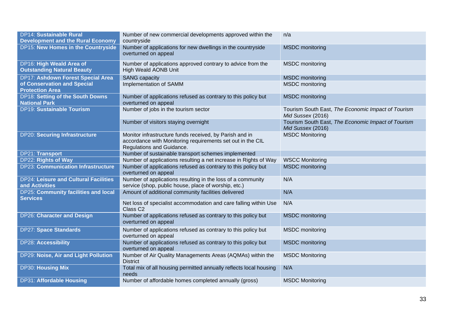| <b>DP14: Sustainable Rural</b><br><b>Development and the Rural Economy</b> | Number of new commercial developments approved within the<br>countryside                                                                           | n/a                                                                     |
|----------------------------------------------------------------------------|----------------------------------------------------------------------------------------------------------------------------------------------------|-------------------------------------------------------------------------|
| DP15: New Homes in the Countryside                                         | Number of applications for new dwellings in the countryside<br>overturned on appeal                                                                | <b>MSDC</b> monitoring                                                  |
| DP16: High Weald Area of<br><b>Outstanding Natural Beauty</b>              | Number of applications approved contrary to advice from the<br>High Weald AONB Unit                                                                | <b>MSDC</b> monitoring                                                  |
| <b>DP17: Ashdown Forest Special Area</b>                                   | <b>SANG</b> capacity                                                                                                                               | <b>MSDC</b> monitoring                                                  |
| of Conservation and Special<br><b>Protection Area</b>                      | Implementation of SAMM                                                                                                                             | <b>MSDC</b> monitoring                                                  |
| DP18: Setting of the South Downs<br><b>National Park</b>                   | Number of applications refused as contrary to this policy but<br>overturned on appeal                                                              | <b>MSDC</b> monitoring                                                  |
| <b>DP19: Sustainable Tourism</b>                                           | Number of jobs in the tourism sector                                                                                                               | Tourism South East, The Economic Impact of Tourism<br>Mid Sussex (2016) |
|                                                                            | Number of visitors staying overnight                                                                                                               | Tourism South East, The Economic Impact of Tourism<br>Mid Sussex (2016) |
| <b>DP20: Securing Infrastructure</b>                                       | Monitor infrastructure funds received, by Parish and in<br>accordance with Monitoring requirements set out in the CIL<br>Regulations and Guidance. | <b>MSDC Monitoring</b>                                                  |
| DP21: Transport                                                            | Number of sustainable transport schemes implemented                                                                                                |                                                                         |
| <b>DP22: Rights of Way</b>                                                 | Number of applications resulting a net increase in Rights of Way                                                                                   | <b>WSCC Monitoring</b>                                                  |
| <b>DP23: Communication Infrastructure</b>                                  | Number of applications refused as contrary to this policy but<br>overturned on appeal                                                              | <b>MSDC</b> monitoring                                                  |
| <b>DP24: Leisure and Cultural Facilities</b><br>and Activities             | Number of applications resulting in the loss of a community<br>service (shop, public house, place of worship, etc.)                                | N/A                                                                     |
| <b>DP25: Community facilities and local</b><br><b>Services</b>             | Amount of additional community facilities delivered                                                                                                | N/A                                                                     |
|                                                                            | Net loss of specialist accommodation and care falling within Use<br>Class <sub>C2</sub>                                                            | N/A                                                                     |
| <b>DP26: Character and Design</b>                                          | Number of applications refused as contrary to this policy but<br>overturned on appeal                                                              | <b>MSDC</b> monitoring                                                  |
| <b>DP27: Space Standards</b>                                               | Number of applications refused as contrary to this policy but<br>overturned on appeal                                                              | <b>MSDC</b> monitoring                                                  |
| <b>DP28: Accessibility</b>                                                 | Number of applications refused as contrary to this policy but<br>overturned on appeal                                                              | <b>MSDC</b> monitoring                                                  |
| <b>DP29: Noise, Air and Light Pollution</b>                                | Number of Air Quality Managements Areas (AQMAs) within the<br><b>District</b>                                                                      | <b>MSDC Monitoring</b>                                                  |
| <b>DP30: Housing Mix</b>                                                   | Total mix of all housing permitted annually reflects local housing<br>needs                                                                        | N/A                                                                     |
| <b>DP31: Affordable Housing</b>                                            | Number of affordable homes completed annually (gross)                                                                                              | <b>MSDC Monitoring</b>                                                  |